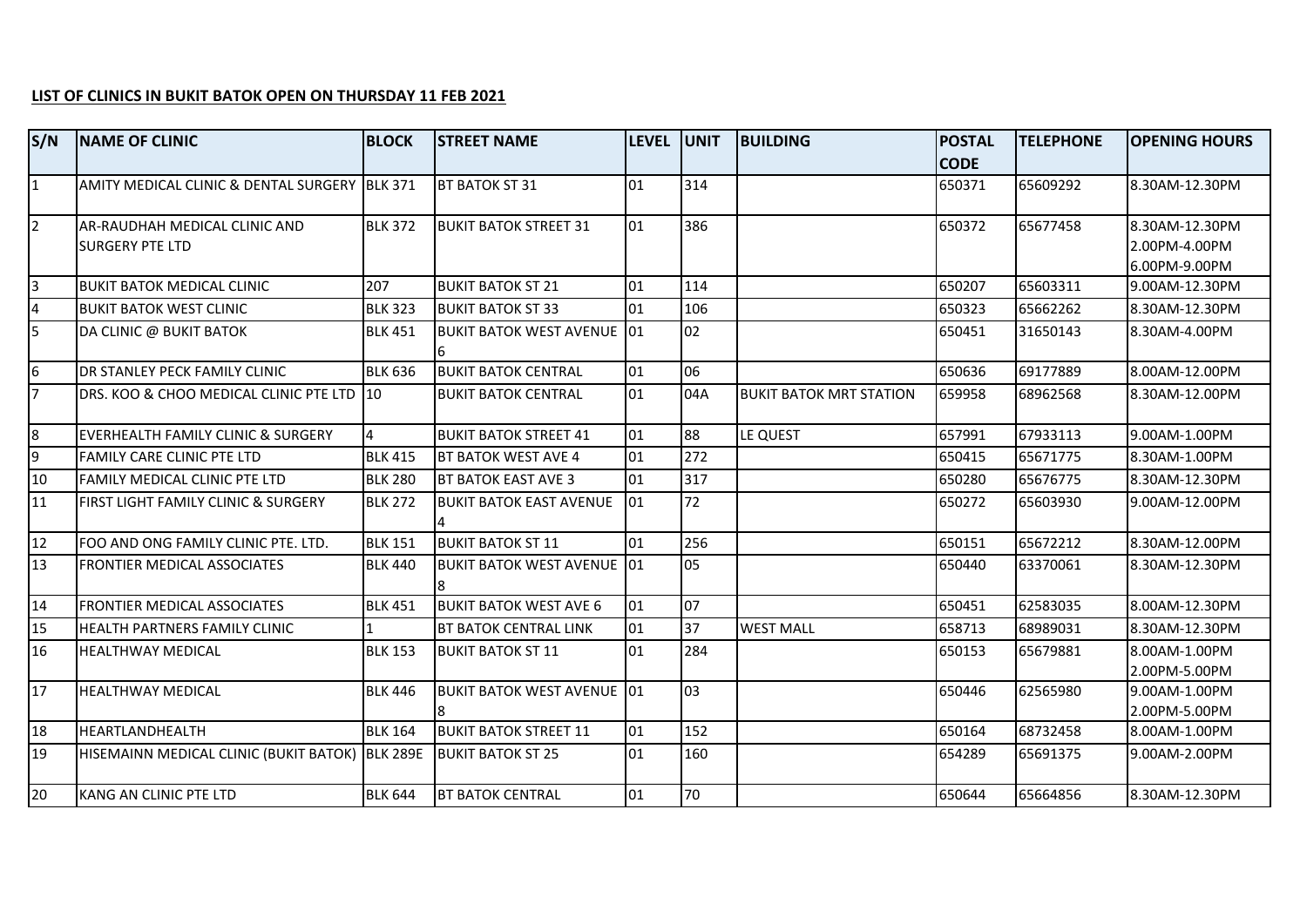## **LIST OF CLINICS IN BUKIT BATOK OPEN ON THURSDAY 11 FEB 2021**

| S/N             | <b>NAME OF CLINIC</b>                           | <b>BLOCK</b>   | <b>STREET NAME</b>                 | <b>LEVEL</b> | <b>UNIT</b> | <b>BUILDING</b>                | <b>POSTAL</b> | <b>TELEPHONE</b> | <b>OPENING HOURS</b>           |
|-----------------|-------------------------------------------------|----------------|------------------------------------|--------------|-------------|--------------------------------|---------------|------------------|--------------------------------|
|                 |                                                 |                |                                    |              |             |                                | <b>CODE</b>   |                  |                                |
| $\overline{1}$  | IAMITY MEDICAL CLINIC & DENTAL SURGERY IBLK 371 |                | <b>BT BATOK ST 31</b>              | 01           | 314         |                                | 650371        | 65609292         | 8.30AM-12.30PM                 |
| $\overline{2}$  | AR-RAUDHAH MEDICAL CLINIC AND                   | <b>BLK 372</b> | <b>BUKIT BATOK STREET 31</b>       | 01           | 386         |                                | 650372        | 65677458         | 8.30AM-12.30PM                 |
|                 | <b>SURGERY PTE LTD</b>                          |                |                                    |              |             |                                |               |                  | 2.00PM-4.00PM                  |
|                 |                                                 |                |                                    |              |             |                                |               |                  | 6.00PM-9.00PM                  |
| l3              | <b>BUKIT BATOK MEDICAL CLINIC</b>               | 207            | <b>BUKIT BATOK ST 21</b>           | 01           | 114         |                                | 650207        | 65603311         | 9.00AM-12.30PM                 |
| $\overline{4}$  | <b>BUKIT BATOK WEST CLINIC</b>                  | <b>BLK 323</b> | <b>BUKIT BATOK ST 33</b>           | 01           | 106         |                                | 650323        | 65662262         | 8.30AM-12.30PM                 |
| 5               | DA CLINIC @ BUKIT BATOK                         | <b>BLK 451</b> | <b>BUKIT BATOK WEST AVENUE 101</b> |              | 02          |                                | 650451        | 31650143         | 8.30AM-4.00PM                  |
| 6               | <b>DR STANLEY PECK FAMILY CLINIC</b>            | <b>BLK 636</b> | <b>BUKIT BATOK CENTRAL</b>         | 01           | 06          |                                | 650636        | 69177889         | 8.00AM-12.00PM                 |
| $\overline{7}$  | DRS. KOO & CHOO MEDICAL CLINIC PTE LTD 10       |                | <b>BUKIT BATOK CENTRAL</b>         | 01           | 04A         | <b>BUKIT BATOK MRT STATION</b> | 659958        | 68962568         | 8.30AM-12.00PM                 |
| 8               | EVERHEALTH FAMILY CLINIC & SURGERY              | $\overline{4}$ | <b>BUKIT BATOK STREET 41</b>       | 01           | 88          | LE QUEST                       | 657991        | 67933113         | 9.00AM-1.00PM                  |
| 9               | FAMILY CARE CLINIC PTE LTD                      | <b>BLK 415</b> | <b>BT BATOK WEST AVE 4</b>         | 01           | 272         |                                | 650415        | 65671775         | 8.30AM-1.00PM                  |
| 10              | <b>FAMILY MEDICAL CLINIC PTE LTD</b>            | <b>BLK 280</b> | <b>BT BATOK EAST AVE 3</b>         | 01           | 317         |                                | 650280        | 65676775         | 8.30AM-12.30PM                 |
| 11              | <b>FIRST LIGHT FAMILY CLINIC &amp; SURGERY</b>  | <b>BLK 272</b> | <b>BUKIT BATOK EAST AVENUE</b>     | 01           | 72          |                                | 650272        | 65603930         | 9.00AM-12.00PM                 |
| 12              | FOO AND ONG FAMILY CLINIC PTE. LTD.             | <b>BLK 151</b> | <b>BUKIT BATOK ST 11</b>           | 01           | 256         |                                | 650151        | 65672212         | 8.30AM-12.00PM                 |
| 13              | <b>FRONTIER MEDICAL ASSOCIATES</b>              | <b>BLK 440</b> | <b>BUKIT BATOK WEST AVENUE 101</b> |              | 05          |                                | 650440        | 63370061         | 8.30AM-12.30PM                 |
| 14              | <b>FRONTIER MEDICAL ASSOCIATES</b>              | <b>BLK 451</b> | <b>BUKIT BATOK WEST AVE 6</b>      | 01           | 07          |                                | 650451        | 62583035         | 8.00AM-12.30PM                 |
| 15              | <b>HEALTH PARTNERS FAMILY CLINIC</b>            |                | <b>BT BATOK CENTRAL LINK</b>       | 01           | 37          | <b>WEST MALL</b>               | 658713        | 68989031         | 8.30AM-12.30PM                 |
| 16              | <b>HEALTHWAY MEDICAL</b>                        | <b>BLK 153</b> | <b>BUKIT BATOK ST 11</b>           | 01           | 284         |                                | 650153        | 65679881         | 8.00AM-1.00PM                  |
|                 |                                                 |                |                                    |              | 03          |                                |               |                  | 2.00PM-5.00PM                  |
| 17              | <b>HEALTHWAY MEDICAL</b>                        | <b>BLK 446</b> | <b>BUKIT BATOK WEST AVENUE 01</b>  |              |             |                                | 650446        | 62565980         | 9.00AM-1.00PM<br>2.00PM-5.00PM |
| 18              | HEARTLANDHEALTH                                 | <b>BLK 164</b> | <b>BUKIT BATOK STREET 11</b>       | 01           | 152         |                                | 650164        | 68732458         | 8.00AM-1.00PM                  |
| 19              | HISEMAINN MEDICAL CLINIC (BUKIT BATOK) BLK 289E |                | <b>BUKIT BATOK ST 25</b>           | 01           | 160         |                                | 654289        | 65691375         | 9.00AM-2.00PM                  |
|                 |                                                 |                |                                    |              |             |                                |               |                  |                                |
| $\overline{20}$ | KANG AN CLINIC PTE LTD                          | <b>BLK 644</b> | <b>BT BATOK CENTRAL</b>            | 01           | 70          |                                | 650644        | 65664856         | 8.30AM-12.30PM                 |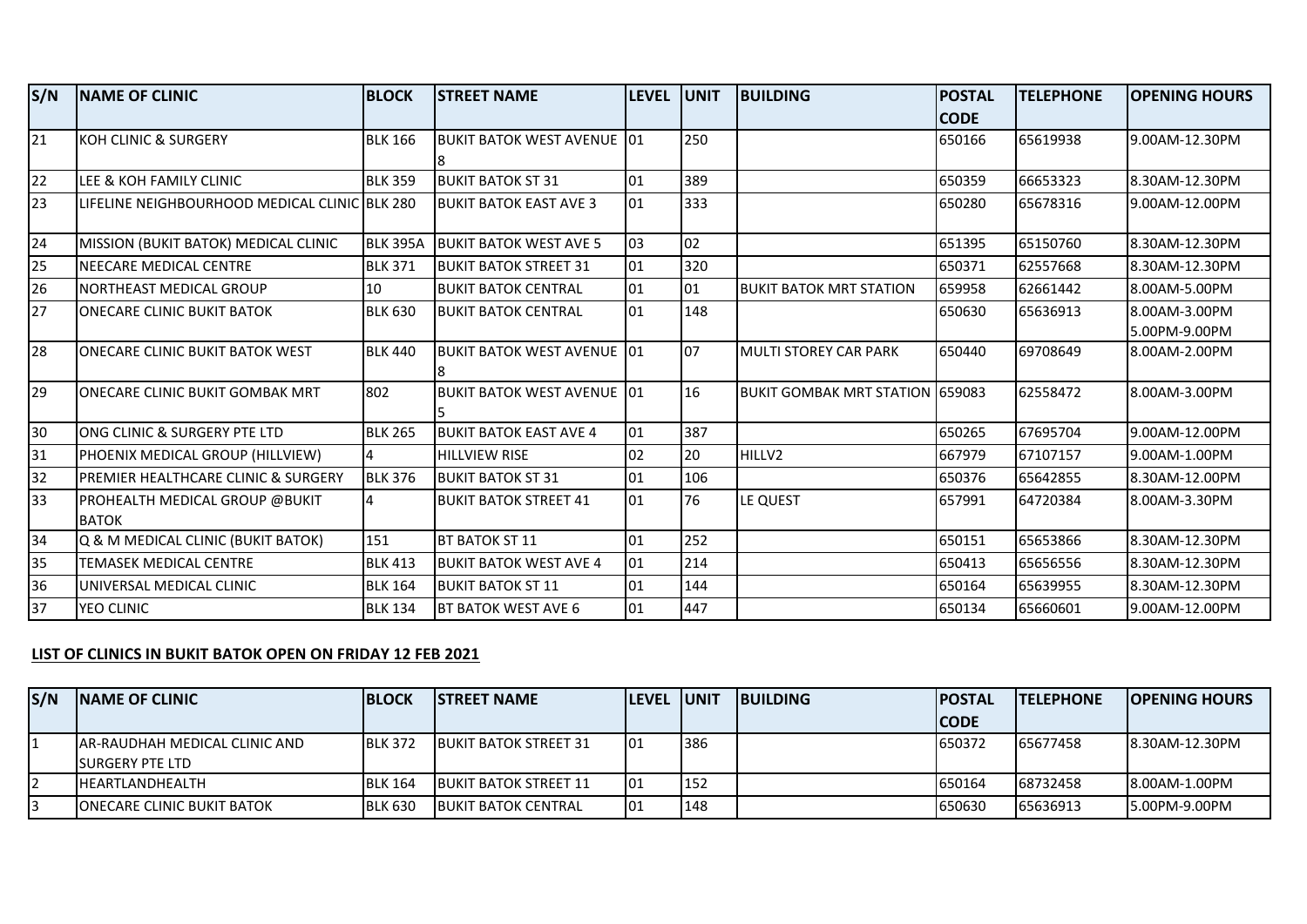| S/N | <b>INAME OF CLINIC</b>                                | <b>BLOCK</b>    | <b>STREET NAME</b>                 | <b>LEVEL</b>    | <b>IUNIT</b> | <b>BUILDING</b>                        | <b>POSTAL</b> | <b>TELEPHONE</b> | <b>OPENING HOURS</b>           |
|-----|-------------------------------------------------------|-----------------|------------------------------------|-----------------|--------------|----------------------------------------|---------------|------------------|--------------------------------|
|     |                                                       |                 |                                    |                 |              |                                        | <b>CODE</b>   |                  |                                |
| 21  | KOH CLINIC & SURGERY                                  | <b>BLK 166</b>  | <b>BUKIT BATOK WEST AVENUE 01</b>  |                 | 250          |                                        | 650166        | 65619938         | 9.00AM-12.30PM                 |
| 22  | <b>ILEE &amp; KOH FAMILY CLINIC</b>                   | <b>BLK 359</b>  | <b>BUKIT BATOK ST 31</b>           | 01              | 389          |                                        | 650359        | 66653323         | 8.30AM-12.30PM                 |
| 23  | LIFELINE NEIGHBOURHOOD MEDICAL CLINIC BLK 280         |                 | <b>BUKIT BATOK EAST AVE 3</b>      | 01              | 333          |                                        | 650280        | 65678316         | 9.00AM-12.00PM                 |
| 24  | MISSION (BUKIT BATOK) MEDICAL CLINIC                  | <b>BLK 395A</b> | <b>BUKIT BATOK WEST AVE 5</b>      | lo <sub>3</sub> | 02           |                                        | 651395        | 65150760         | 8.30AM-12.30PM                 |
| 25  | <b>INEECARE MEDICAL CENTRE</b>                        | <b>BLK 371</b>  | <b>BUKIT BATOK STREET 31</b>       | 01              | 320          |                                        | 650371        | 62557668         | 8.30AM-12.30PM                 |
| 26  | <b>INORTHEAST MEDICAL GROUP</b>                       | 10              | <b>BUKIT BATOK CENTRAL</b>         | 01              | 01           | <b>I</b> BUKIT BATOK MRT STATION       | 659958        | 62661442         | 8.00AM-5.00PM                  |
| 27  | <b>I</b> ONECARE CLINIC BUKIT BATOK                   | <b>BLK 630</b>  | <b>BUKIT BATOK CENTRAL</b>         | $ _{01}$        | 148          |                                        | 650630        | 65636913         | 8.00AM-3.00PM<br>5.00PM-9.00PM |
| 28  | <b>IONECARE CLINIC BUKIT BATOK WEST</b>               | <b>BLK 440</b>  | <b>BUKIT BATOK WEST AVENUE 01</b>  |                 | 07           | MULTI STOREY CAR PARK                  | 650440        | 69708649         | 8.00AM-2.00PM                  |
| 29  | <b>IONECARE CLINIC BUKIT GOMBAK MRT</b>               | 802             | <b>BUKIT BATOK WEST AVENUE 101</b> |                 | 16           | <b>BUKIT GOMBAK MRT STATION 659083</b> |               | 62558472         | 8.00AM-3.00PM                  |
| 30  | ONG CLINIC & SURGERY PTE LTD                          | <b>BLK 265</b>  | <b>BUKIT BATOK EAST AVE 4</b>      | 01              | 387          |                                        | 650265        | 67695704         | 9.00AM-12.00PM                 |
| 131 | PHOENIX MEDICAL GROUP (HILLVIEW)                      |                 | <b>HILLVIEW RISE</b>               | 02              | 20           | HILLV2                                 | 667979        | 67107157         | 9.00AM-1.00PM                  |
| 32  | <b>IPREMIER HEALTHCARE CLINIC &amp; SURGERY</b>       | <b>BLK 376</b>  | <b>BUKIT BATOK ST 31</b>           | 01              | 106          |                                        | 650376        | 65642855         | 8.30AM-12.00PM                 |
| 33  | <b>PROHEALTH MEDICAL GROUP @BUKIT</b><br><b>BATOK</b> |                 | <b>BUKIT BATOK STREET 41</b>       | 01              | 76           | LE QUEST                               | 657991        | 64720384         | 8.00AM-3.30PM                  |
| 34  | Q & M MEDICAL CLINIC (BUKIT BATOK)                    | 151             | <b>BT BATOK ST 11</b>              | 01              | 252          |                                        | 650151        | 65653866         | 8.30AM-12.30PM                 |
| 35  | TEMASEK MEDICAL CENTRE                                | <b>BLK 413</b>  | <b>BUKIT BATOK WEST AVE 4</b>      | 01              | 214          |                                        | 650413        | 65656556         | 8.30AM-12.30PM                 |
| 36  | UNIVERSAL MEDICAL CLINIC                              | <b>BLK 164</b>  | <b>BUKIT BATOK ST 11</b>           | 01              | 144          |                                        | 650164        | 65639955         | 8.30AM-12.30PM                 |
| 37  | YEO CLINIC                                            | <b>BLK 134</b>  | <b>BT BATOK WEST AVE 6</b>         | 01              | 447          |                                        | 650134        | 65660601         | 9.00AM-12.00PM                 |

## **LIST OF CLINICS IN BUKIT BATOK OPEN ON FRIDAY 12 FEB 2021**

| S/N | <b>INAME OF CLINIC</b>                                     | <b>IBLOCK</b>  | <b>ISTREET NAME</b>           | <b>ILEVEL UNIT</b> |     | <b>IBUILDING</b> | <b>IPOSTAL</b> | <b>ITELEPHONE</b> | <b>IOPENING HOURS</b> |
|-----|------------------------------------------------------------|----------------|-------------------------------|--------------------|-----|------------------|----------------|-------------------|-----------------------|
|     |                                                            |                |                               |                    |     |                  | <b>ICODE</b>   |                   |                       |
|     | IAR-RAUDHAH MEDICAL CLINIC AND<br><b>I</b> SURGERY PTE LTD | <b>BLK 372</b> | <b>IBUKIT BATOK STREET 31</b> | 01                 | 386 |                  | 650372         | 65677458          | 8.30AM-12.30PM        |
|     | <b>IHEARTLANDHEALTH</b>                                    | <b>BLK 164</b> | <b>IBUKIT BATOK STREET 11</b> | 01                 | 152 |                  | 650164         | 68732458          | 18.00AM-1.00PM        |
|     | <b>IONECARE CLINIC BUKIT BATOK</b>                         | <b>BLK 630</b> | <b>IBUKIT BATOK CENTRAL</b>   | 01                 | 148 |                  | 650630         | 65636913          | 15.00PM-9.00PM        |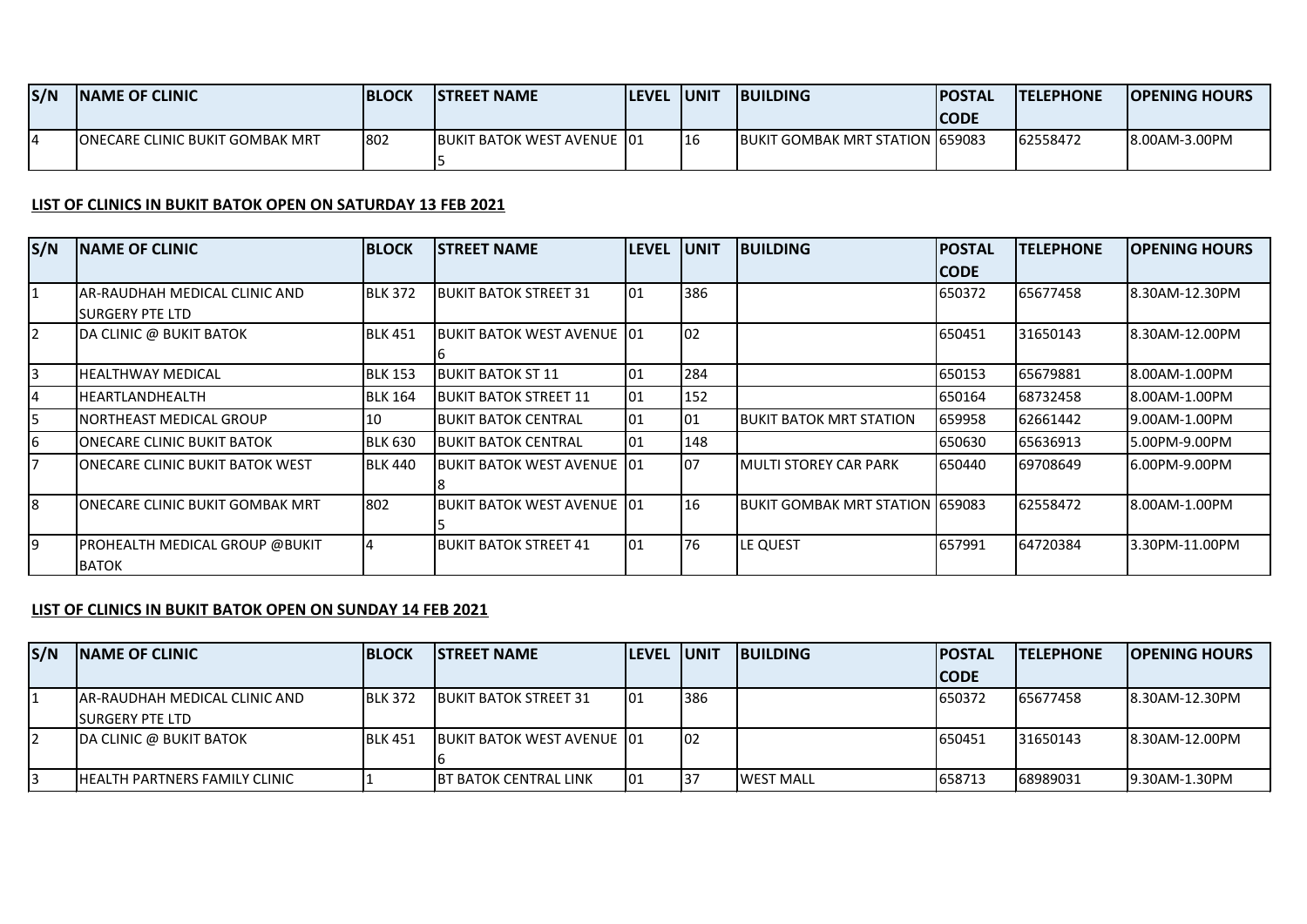| S/N | <b>INAME OF CLINIC</b>                  | <b>BLOCK</b> | <b>ISTREET NAME</b>                | <b>ILEVEL</b> | . IUNIT        | <b>IBUILDING</b>                         | <b>IPOSTAL</b> | <b>ITELEPHONE</b> | <b>IOPENING HOURS</b> |
|-----|-----------------------------------------|--------------|------------------------------------|---------------|----------------|------------------------------------------|----------------|-------------------|-----------------------|
|     |                                         |              |                                    |               |                |                                          | ICODE          |                   |                       |
|     | <b>IONECARE CLINIC BUKIT GOMBAK MRT</b> | 802          | <b>BUKIT BATOK WEST AVENUE 101</b> |               | <sup>116</sup> | <b>IBUKIT GOMBAK MRT STATION 1659083</b> |                | 62558472          | 8.00AM-3.00PM         |

## **LIST OF CLINICS IN BUKIT BATOK OPEN ON SATURDAY 13 FEB 2021**

| S/N          | <b>INAME OF CLINIC</b>                  | <b>BLOCK</b>   | <b>STREET NAME</b>                 | <b>LEVEL</b> | <b>UNIT</b> | <b>BUILDING</b>                         | <b>POSTAL</b> | <b>TELEPHONE</b> | <b>OPENING HOURS</b> |
|--------------|-----------------------------------------|----------------|------------------------------------|--------------|-------------|-----------------------------------------|---------------|------------------|----------------------|
|              |                                         |                |                                    |              |             |                                         | <b>CODE</b>   |                  |                      |
| $\mathbf{1}$ | IAR-RAUDHAH MEDICAL CLINIC AND          | <b>BLK 372</b> | <b>IBUKIT BATOK STREET 31</b>      | 01           | 386         |                                         | 650372        | 65677458         | 8.30AM-12.30PM       |
|              | ISURGERY PTE LTD                        |                |                                    |              |             |                                         |               |                  |                      |
| 2            | <b>IDA CLINIC @ BUKIT BATOK</b>         | <b>BLK 451</b> | <b>BUKIT BATOK WEST AVENUE 101</b> |              | 102         |                                         | 650451        | 31650143         | 8.30AM-12.00PM       |
|              |                                         |                |                                    |              |             |                                         |               |                  |                      |
| Iз           | <b>IHEALTHWAY MEDICAL</b>               | <b>BLK 153</b> | <b>BUKIT BATOK ST 11</b>           | 01           | 284         |                                         | 650153        | 65679881         | 8.00AM-1.00PM        |
| I4           | IHEARTLANDHEALTH                        | <b>BLK 164</b> | <b>IBUKIT BATOK STREET 11</b>      | 01           | 152         |                                         | 650164        | 68732458         | 8.00AM-1.00PM        |
| I5           | <b>INORTHEAST MEDICAL GROUP</b>         | 10             | <b>BUKIT BATOK CENTRAL</b>         | 101          | 01          | <b>IBUKIT BATOK MRT STATION</b>         | 659958        | 62661442         | 19.00AM-1.00PM       |
| l6           | <b>IONECARE CLINIC BUKIT BATOK</b>      | <b>BLK 630</b> | <b>BUKIT BATOK CENTRAL</b>         | 101          | 148         |                                         | 650630        | 65636913         | 5.00PM-9.00PM        |
| 17           | <b>JONECARE CLINIC BUKIT BATOK WEST</b> | <b>BLK 440</b> | <b>BUKIT BATOK WEST AVENUE 101</b> |              | 07          | <b>IMULTI STOREY CAR PARK</b>           | 650440        | 69708649         | 6.00PM-9.00PM        |
|              |                                         |                |                                    |              |             |                                         |               |                  |                      |
| l8           | <b>IONECARE CLINIC BUKIT GOMBAK MRT</b> | 802            | <b>BUKIT BATOK WEST AVENUE 101</b> |              | 16          | <b>BUKIT GOMBAK MRT STATION 1659083</b> |               | 62558472         | 8.00AM-1.00PM        |
|              |                                         |                |                                    |              |             |                                         |               |                  |                      |
| l9           | <b>PROHEALTH MEDICAL GROUP @BUKIT</b>   | 14             | <b>BUKIT BATOK STREET 41</b>       | 101          | 76          | LE QUEST                                | 657991        | 64720384         | 3.30PM-11.00PM       |
|              | BATOK                                   |                |                                    |              |             |                                         |               |                  |                      |

## **LIST OF CLINICS IN BUKIT BATOK OPEN ON SUNDAY 14 FEB 2021**

| <b>INAME OF CLINIC</b>                |                                                   |                                                                                       |                                                  |                            |                                       |                                                             | <b>IOPENING HOURS</b>                     |
|---------------------------------------|---------------------------------------------------|---------------------------------------------------------------------------------------|--------------------------------------------------|----------------------------|---------------------------------------|-------------------------------------------------------------|-------------------------------------------|
|                                       |                                                   |                                                                                       |                                                  |                            |                                       |                                                             |                                           |
| IAR-RAUDHAH MEDICAL CLINIC AND        |                                                   |                                                                                       | 386                                              |                            |                                       |                                                             | 8.30AM-12.30PM                            |
| ISURGERY PTE LTD                      |                                                   |                                                                                       |                                                  |                            |                                       |                                                             |                                           |
| <b>DA CLINIC @ BUKIT BATOK</b>        |                                                   |                                                                                       |                                                  |                            |                                       | 31650143                                                    | 8.30AM-12.00PM                            |
|                                       |                                                   |                                                                                       |                                                  |                            |                                       |                                                             |                                           |
| <b>IHEALTH PARTNERS FAMILY CLINIC</b> |                                                   |                                                                                       | 137                                              |                            |                                       |                                                             | 19.30AM-1.30PM                            |
|                                       | <b>IBLOCK</b><br><b>BLK 372</b><br><b>BLK 451</b> | <b>ISTREET NAME</b><br><b>IBUKIT BATOK STREET 31</b><br><b>IBT BATOK CENTRAL LINK</b> | 101<br><b>BUKIT BATOK WEST AVENUE 101</b><br>101 | <b>ILEVEL IUNIT</b><br>102 | <b>IBUILDING</b><br><b>IWEST MALL</b> | <b>IPOSTAL</b><br><b>CODE</b><br>650372<br>650451<br>658713 | <b>ITELEPHONE</b><br>65677458<br>68989031 |